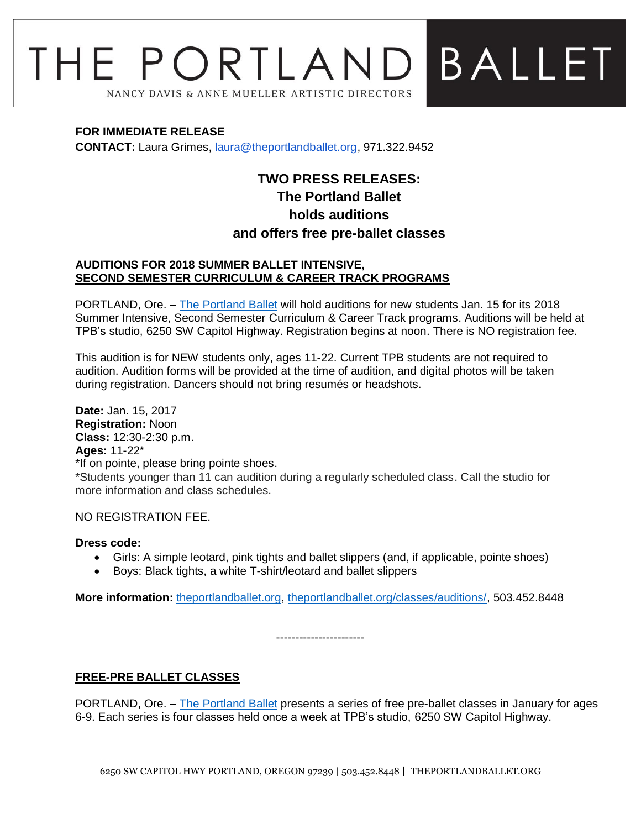# **BALLET** THE PORTLAND NANCY DAVIS & ANNE MUELLER ARTISTIC DIRECTORS

#### **FOR IMMEDIATE RELEASE**

**CONTACT:** Laura Grimes, [laura@theportlandballet.org,](mailto:laura@theportlandballet.org) 971.322.9452

# **TWO PRESS RELEASES: The Portland Ballet holds auditions and offers free pre-ballet classes**

#### **AUDITIONS FOR 2018 SUMMER BALLET INTENSIVE, SECOND SEMESTER CURRICULUM & CAREER TRACK PROGRAMS**

PORTLAND, Ore. – [The Portland Ballet](http://theportlandballet.org/) will hold auditions for new students Jan. 15 for its 2018 Summer Intensive, Second Semester Curriculum & Career Track programs. Auditions will be held at TPB's studio, 6250 SW Capitol Highway. Registration begins at noon. There is NO registration fee.

This audition is for NEW students only, ages 11-22. Current TPB students are not required to audition. Audition forms will be provided at the time of audition, and digital photos will be taken during registration. Dancers should not bring resumés or headshots.

**Date:** Jan. 15, 2017 **Registration:** Noon **Class:** 12:30-2:30 p.m. **Ages:** 11-22\* \*If on pointe, please bring pointe shoes. \*Students younger than 11 can audition during a regularly scheduled class. Call the studio for more information and class schedules.

#### NO REGISTRATION FEE.

#### **Dress code:**

- Girls: A simple leotard, pink tights and ballet slippers (and, if applicable, pointe shoes)
- Boys: Black tights, a white T-shirt/leotard and ballet slippers

**More information:** [theportlandballet.org,](http://theportlandballet.org/) [theportlandballet.org/classes/auditions/,](http://theportlandballet.org/classes/auditions/) 503.452.8448

-----------------------

# **FREE-PRE BALLET CLASSES**

PORTLAND, Ore. – [The Portland Ballet](http://theportlandballet.org/) presents a series of free pre-ballet classes in January for ages 6-9. Each series is four classes held once a week at TPB's studio, 6250 SW Capitol Highway.